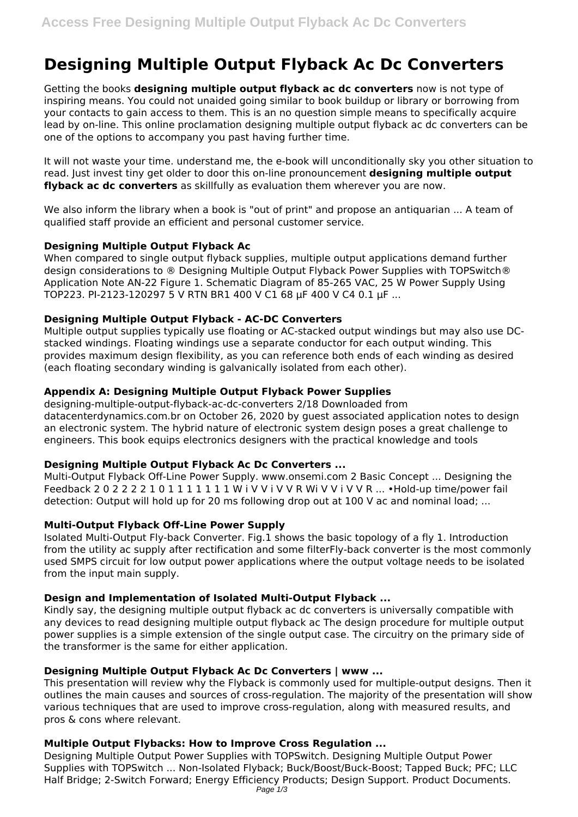# **Designing Multiple Output Flyback Ac Dc Converters**

Getting the books **designing multiple output flyback ac dc converters** now is not type of inspiring means. You could not unaided going similar to book buildup or library or borrowing from your contacts to gain access to them. This is an no question simple means to specifically acquire lead by on-line. This online proclamation designing multiple output flyback ac dc converters can be one of the options to accompany you past having further time.

It will not waste your time. understand me, the e-book will unconditionally sky you other situation to read. Just invest tiny get older to door this on-line pronouncement **designing multiple output flyback ac dc converters** as skillfully as evaluation them wherever you are now.

We also inform the library when a book is "out of print" and propose an antiquarian ... A team of qualified staff provide an efficient and personal customer service.

# **Designing Multiple Output Flyback Ac**

When compared to single output flyback supplies, multiple output applications demand further design considerations to ® Designing Multiple Output Flyback Power Supplies with TOPSwitch® Application Note AN-22 Figure 1. Schematic Diagram of 85-265 VAC, 25 W Power Supply Using TOP223. PI-2123-120297 5 V RTN BR1 400 V C1 68 µF 400 V C4 0.1 µF ...

# **Designing Multiple Output Flyback - AC-DC Converters**

Multiple output supplies typically use floating or AC-stacked output windings but may also use DCstacked windings. Floating windings use a separate conductor for each output winding. This provides maximum design flexibility, as you can reference both ends of each winding as desired (each floating secondary winding is galvanically isolated from each other).

#### **Appendix A: Designing Multiple Output Flyback Power Supplies**

designing-multiple-output-flyback-ac-dc-converters 2/18 Downloaded from datacenterdynamics.com.br on October 26, 2020 by guest associated application notes to design an electronic system. The hybrid nature of electronic system design poses a great challenge to engineers. This book equips electronics designers with the practical knowledge and tools

# **Designing Multiple Output Flyback Ac Dc Converters ...**

Multi-Output Flyback Off-Line Power Supply. www.onsemi.com 2 Basic Concept ... Designing the Feedback 2 0 2 2 2 2 1 0 1 1 1 1 1 1 1 W i V V i V V R Wi V V i V V R ... •Hold-up time/power fail detection: Output will hold up for 20 ms following drop out at 100 V ac and nominal load; ...

#### **Multi-Output Flyback Off-Line Power Supply**

Isolated Multi-Output Fly-back Converter. Fig.1 shows the basic topology of a fly 1. Introduction from the utility ac supply after rectification and some filterFly-back converter is the most commonly used SMPS circuit for low output power applications where the output voltage needs to be isolated from the input main supply.

#### **Design and Implementation of Isolated Multi-Output Flyback ...**

Kindly say, the designing multiple output flyback ac dc converters is universally compatible with any devices to read designing multiple output flyback ac The design procedure for multiple output power supplies is a simple extension of the single output case. The circuitry on the primary side of the transformer is the same for either application.

# **Designing Multiple Output Flyback Ac Dc Converters | www ...**

This presentation will review why the Flyback is commonly used for multiple-output designs. Then it outlines the main causes and sources of cross-regulation. The majority of the presentation will show various techniques that are used to improve cross-regulation, along with measured results, and pros & cons where relevant.

# **Multiple Output Flybacks: How to Improve Cross Regulation ...**

Designing Multiple Output Power Supplies with TOPSwitch. Designing Multiple Output Power Supplies with TOPSwitch ... Non-Isolated Flyback; Buck/Boost/Buck-Boost; Tapped Buck; PFC; LLC Half Bridge; 2-Switch Forward; Energy Efficiency Products; Design Support. Product Documents. Page 1/3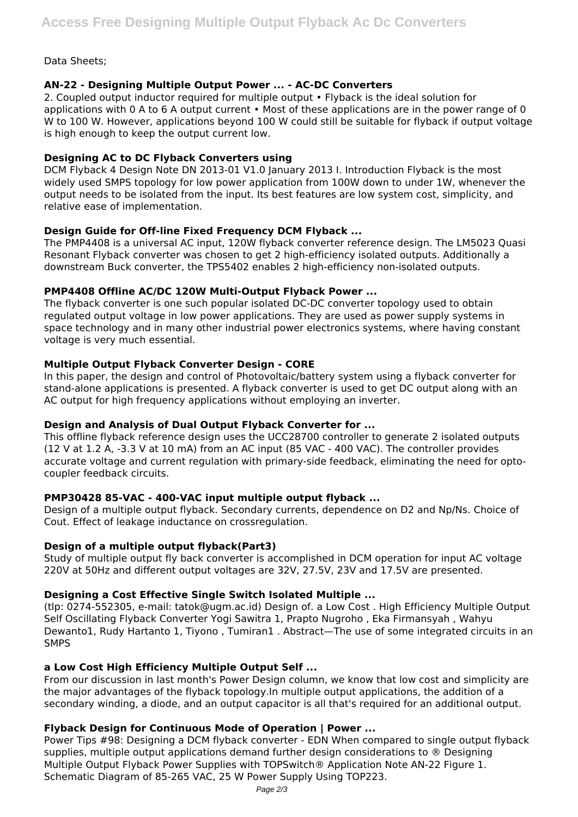# Data Sheets;

# **AN-22 - Designing Multiple Output Power ... - AC-DC Converters**

2. Coupled output inductor required for multiple output • Flyback is the ideal solution for applications with 0 A to 6 A output current • Most of these applications are in the power range of 0 W to 100 W. However, applications beyond 100 W could still be suitable for flyback if output voltage is high enough to keep the output current low.

# **Designing AC to DC Flyback Converters using**

DCM Flyback 4 Design Note DN 2013-01 V1.0 January 2013 I. Introduction Flyback is the most widely used SMPS topology for low power application from 100W down to under 1W, whenever the output needs to be isolated from the input. Its best features are low system cost, simplicity, and relative ease of implementation.

# **Design Guide for Off-line Fixed Frequency DCM Flyback ...**

The PMP4408 is a universal AC input, 120W flyback converter reference design. The LM5023 Quasi Resonant Flyback converter was chosen to get 2 high-efficiency isolated outputs. Additionally a downstream Buck converter, the TPS5402 enables 2 high-efficiency non-isolated outputs.

# **PMP4408 Offline AC/DC 120W Multi-Output Flyback Power ...**

The flyback converter is one such popular isolated DC-DC converter topology used to obtain regulated output voltage in low power applications. They are used as power supply systems in space technology and in many other industrial power electronics systems, where having constant voltage is very much essential.

# **Multiple Output Flyback Converter Design - CORE**

In this paper, the design and control of Photovoltaic/battery system using a flyback converter for stand-alone applications is presented. A flyback converter is used to get DC output along with an AC output for high frequency applications without employing an inverter.

# **Design and Analysis of Dual Output Flyback Converter for ...**

This offline flyback reference design uses the UCC28700 controller to generate 2 isolated outputs (12 V at 1.2 A, -3.3 V at 10 mA) from an AC input (85 VAC - 400 VAC). The controller provides accurate voltage and current regulation with primary-side feedback, eliminating the need for optocoupler feedback circuits.

# **PMP30428 85-VAC - 400-VAC input multiple output flyback ...**

Design of a multiple output flyback. Secondary currents, dependence on D2 and Np/Ns. Choice of Cout. Effect of leakage inductance on crossregulation.

# **Design of a multiple output flyback(Part3)**

Study of multiple output fly back converter is accomplished in DCM operation for input AC voltage 220V at 50Hz and different output voltages are 32V, 27.5V, 23V and 17.5V are presented.

# **Designing a Cost Effective Single Switch Isolated Multiple ...**

(tlp: 0274-552305, e-mail: tatok@ugm.ac.id) Design of. a Low Cost . High Efficiency Multiple Output Self Oscillating Flyback Converter Yogi Sawitra 1, Prapto Nugroho , Eka Firmansyah , Wahyu Dewanto1, Rudy Hartanto 1, Tiyono , Tumiran1 . Abstract—The use of some integrated circuits in an **SMPS** 

# **a Low Cost High Efficiency Multiple Output Self ...**

From our discussion in last month's Power Design column, we know that low cost and simplicity are the major advantages of the flyback topology.In multiple output applications, the addition of a secondary winding, a diode, and an output capacitor is all that's required for an additional output.

# **Flyback Design for Continuous Mode of Operation | Power ...**

Power Tips #98: Designing a DCM flyback converter - EDN When compared to single output flyback supplies, multiple output applications demand further design considerations to ® Designing Multiple Output Flyback Power Supplies with TOPSwitch® Application Note AN-22 Figure 1. Schematic Diagram of 85-265 VAC, 25 W Power Supply Using TOP223.